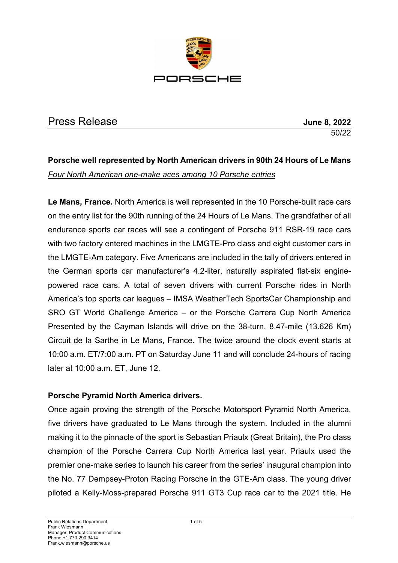

## Press Release **June 8, 2022**

50/22

# **Porsche well represented by North American drivers in 90th 24 Hours of Le Mans** *Four North American one-make aces among 10 Porsche entries*

**Le Mans, France.** North America is well represented in the 10 Porsche-built race cars on the entry list for the 90th running of the 24 Hours of Le Mans. The grandfather of all endurance sports car races will see a contingent of Porsche 911 RSR-19 race cars with two factory entered machines in the LMGTE-Pro class and eight customer cars in the LMGTE-Am category. Five Americans are included in the tally of drivers entered in the German sports car manufacturer's 4.2-liter, naturally aspirated flat-six enginepowered race cars. A total of seven drivers with current Porsche rides in North America's top sports car leagues – IMSA WeatherTech SportsCar Championship and SRO GT World Challenge America – or the Porsche Carrera Cup North America Presented by the Cayman Islands will drive on the 38-turn, 8.47-mile (13.626 Km) Circuit de la Sarthe in Le Mans, France. The twice around the clock event starts at 10:00 a.m. ET/7:00 a.m. PT on Saturday June 11 and will conclude 24-hours of racing later at 10:00 a.m. ET, June 12.

### **Porsche Pyramid North America drivers.**

Once again proving the strength of the Porsche Motorsport Pyramid North America, five drivers have graduated to Le Mans through the system. Included in the alumni making it to the pinnacle of the sport is Sebastian Priaulx (Great Britain), the Pro class champion of the Porsche Carrera Cup North America last year. Priaulx used the premier one-make series to launch his career from the series' inaugural champion into the No. 77 Dempsey-Proton Racing Porsche in the GTE-Am class. The young driver piloted a Kelly-Moss-prepared Porsche 911 GT3 Cup race car to the 2021 title. He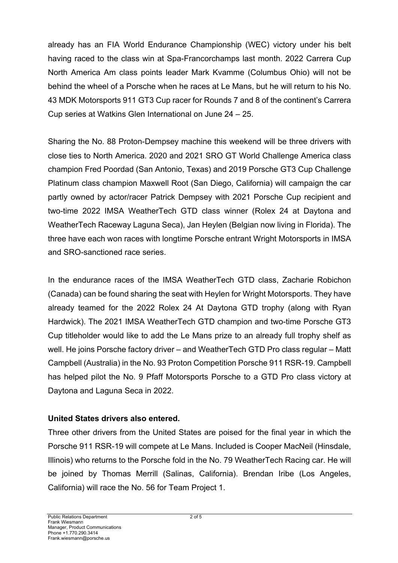already has an FIA World Endurance Championship (WEC) victory under his belt having raced to the class win at Spa-Francorchamps last month. 2022 Carrera Cup North America Am class points leader Mark Kvamme (Columbus Ohio) will not be behind the wheel of a Porsche when he races at Le Mans, but he will return to his No. 43 MDK Motorsports 911 GT3 Cup racer for Rounds 7 and 8 of the continent's Carrera Cup series at Watkins Glen International on June 24 – 25.

Sharing the No. 88 Proton-Dempsey machine this weekend will be three drivers with close ties to North America. 2020 and 2021 SRO GT World Challenge America class champion Fred Poordad (San Antonio, Texas) and 2019 Porsche GT3 Cup Challenge Platinum class champion Maxwell Root (San Diego, California) will campaign the car partly owned by actor/racer Patrick Dempsey with 2021 Porsche Cup recipient and two-time 2022 IMSA WeatherTech GTD class winner (Rolex 24 at Daytona and WeatherTech Raceway Laguna Seca), Jan Heylen (Belgian now living in Florida). The three have each won races with longtime Porsche entrant Wright Motorsports in IMSA and SRO-sanctioned race series.

In the endurance races of the IMSA WeatherTech GTD class, Zacharie Robichon (Canada) can be found sharing the seat with Heylen for Wright Motorsports. They have already teamed for the 2022 Rolex 24 At Daytona GTD trophy (along with Ryan Hardwick). The 2021 IMSA WeatherTech GTD champion and two-time Porsche GT3 Cup titleholder would like to add the Le Mans prize to an already full trophy shelf as well. He joins Porsche factory driver – and WeatherTech GTD Pro class regular – Matt Campbell (Australia) in the No. 93 Proton Competition Porsche 911 RSR-19. Campbell has helped pilot the No. 9 Pfaff Motorsports Porsche to a GTD Pro class victory at Daytona and Laguna Seca in 2022.

### **United States drivers also entered.**

Three other drivers from the United States are poised for the final year in which the Porsche 911 RSR-19 will compete at Le Mans. Included is Cooper MacNeil (Hinsdale, Illinois) who returns to the Porsche fold in the No. 79 WeatherTech Racing car. He will be joined by Thomas Merrill (Salinas, California). Brendan Iribe (Los Angeles, California) will race the No. 56 for Team Project 1.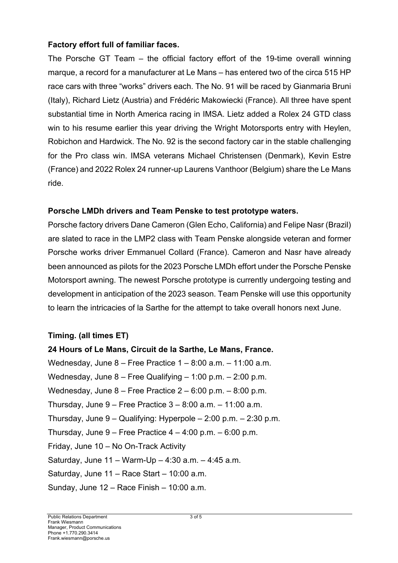### **Factory effort full of familiar faces.**

The Porsche GT Team – the official factory effort of the 19-time overall winning marque, a record for a manufacturer at Le Mans – has entered two of the circa 515 HP race cars with three "works" drivers each. The No. 91 will be raced by Gianmaria Bruni (Italy), Richard Lietz (Austria) and Frédéric Makowiecki (France). All three have spent substantial time in North America racing in IMSA. Lietz added a Rolex 24 GTD class win to his resume earlier this year driving the Wright Motorsports entry with Heylen, Robichon and Hardwick. The No. 92 is the second factory car in the stable challenging for the Pro class win. IMSA veterans Michael Christensen (Denmark), Kevin Estre (France) and 2022 Rolex 24 runner-up Laurens Vanthoor (Belgium) share the Le Mans ride.

### **Porsche LMDh drivers and Team Penske to test prototype waters.**

Porsche factory drivers Dane Cameron (Glen Echo, California) and Felipe Nasr (Brazil) are slated to race in the LMP2 class with Team Penske alongside veteran and former Porsche works driver Emmanuel Collard (France). Cameron and Nasr have already been announced as pilots for the 2023 Porsche LMDh effort under the Porsche Penske Motorsport awning. The newest Porsche prototype is currently undergoing testing and development in anticipation of the 2023 season. Team Penske will use this opportunity to learn the intricacies of la Sarthe for the attempt to take overall honors next June.

### **Timing. (all times ET)**

**24 Hours of Le Mans, Circuit de la Sarthe, Le Mans, France.** Wednesday, June 8 – Free Practice 1 – 8:00 a.m. – 11:00 a.m. Wednesday, June 8 – Free Qualifying – 1:00 p.m. – 2:00 p.m. Wednesday, June 8 – Free Practice 2 – 6:00 p.m. – 8:00 p.m. Thursday, June  $9$  – Free Practice  $3 - 8:00$  a.m.  $- 11:00$  a.m. Thursday, June 9 – Qualifying: Hyperpole – 2:00 p.m. – 2:30 p.m. Thursday, June  $9$  – Free Practice  $4 - 4:00$  p.m.  $- 6:00$  p.m. Friday, June 10 – No On-Track Activity Saturday, June 11 – Warm-Up – 4:30 a.m. – 4:45 a.m. Saturday, June 11 – Race Start – 10:00 a.m. Sunday, June 12 – Race Finish – 10:00 a.m.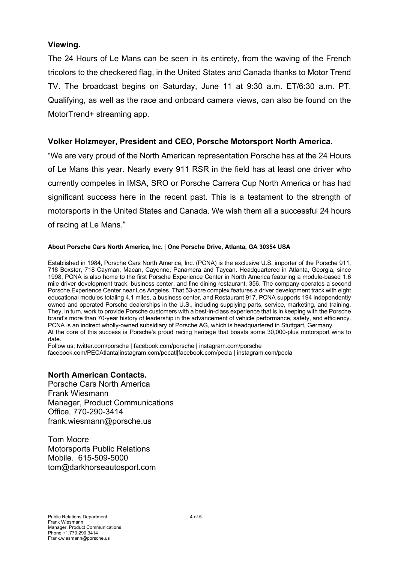### **Viewing.**

The 24 Hours of Le Mans can be seen in its entirety, from the waving of the French tricolors to the checkered flag, in the United States and Canada thanks to Motor Trend TV. The broadcast begins on Saturday, June 11 at 9:30 a.m. ET/6:30 a.m. PT. Qualifying, as well as the race and onboard camera views, can also be found on the MotorTrend+ streaming app.

### **Volker Holzmeyer, President and CEO, Porsche Motorsport North America.**

"We are very proud of the North American representation Porsche has at the 24 Hours of Le Mans this year. Nearly every 911 RSR in the field has at least one driver who currently competes in IMSA, SRO or Porsche Carrera Cup North America or has had significant success here in the recent past. This is a testament to the strength of motorsports in the United States and Canada. We wish them all a successful 24 hours of racing at Le Mans."

#### **About Porsche Cars North America, Inc. | One Porsche Drive, Atlanta, GA 30354 USA**

Established in 1984, Porsche Cars North America, Inc. (PCNA) is the exclusive U.S. importer of the Porsche 911, 718 Boxster, 718 Cayman, Macan, Cayenne, Panamera and Taycan. Headquartered in Atlanta, Georgia, since 1998, PCNA is also home to the first Porsche Experience Center in North America featuring a module-based 1.6 mile driver development track, business center, and fine dining restaurant, 356. The company operates a second Porsche Experience Center near Los Angeles. That 53-acre complex features a driver development track with eight educational modules totaling 4.1 miles, a business center, and Restaurant 917. PCNA supports 194 independently owned and operated Porsche dealerships in the U.S., including supplying parts, service, marketing, and training. They, in turn, work to provide Porsche customers with a best-in-class experience that is in keeping with the Porsche brand's more than 70-year history of leadership in the advancement of vehicle performance, safety, and efficiency. PCNA is an indirect wholly-owned subsidiary of Porsche AG, which is headquartered in Stuttgart, Germany. At the core of this success is Porsche's proud racing heritage that boasts some 30,000-plus motorsport wins to date.

Follow us: twitter.com/porsche | facebook.com/porsche | instagram.com/porsche facebook.com/PECAtlanta|instagram.com/pecatl|facebook.com/pecla | instagram.com/pecla

### **North American Contacts.**

Porsche Cars North America Frank Wiesmann Manager, Product Communications Office. 770-290-3414 frank.wiesmann@porsche.us

Tom Moore Motorsports Public Relations Mobile. 615-509-5000 tom@darkhorseautosport.com